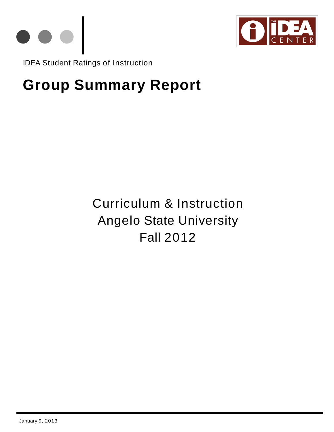



IDEA Student Ratings of Instruction

# **Group Summary Report**

Curriculum & Instruction Angelo State University Fall 2012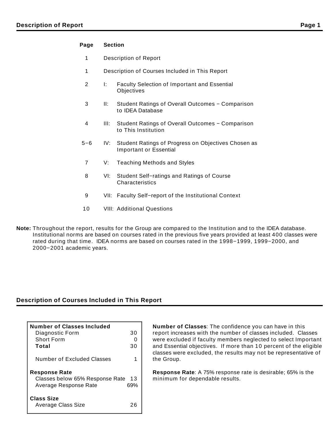#### **Page Section**

- 1 Description of Report
- 1 Description of Courses Included in This Report
- 2 I: Faculty Selection of Important and Essential **Objectives**
- 3 II: Student Ratings of Overall Outcomes − Comparison to IDEA Database
- 4 III: Student Ratings of Overall Outcomes − Comparison to This Institution
- 5−6 IV: Student Ratings of Progress on Objectives Chosen as Important or Essential
	- 7 V: Teaching Methods and Styles
	- 8 VI: Student Self−ratings and Ratings of Course **Characteristics**
	- 9 VII: Faculty Self−report of the Institutional Context
- 10 VIII: Additional Questions
- **Note:** Throughout the report, results for the Group are compared to the Institution and to the IDEA database. Institutional norms are based on courses rated in the previous five years provided at least 400 classes were rated during that time. IDEA norms are based on courses rated in the 1998−1999, 1999−2000, and 2000−2001 academic years.

## **Description of Courses Included in This Report**

| Number of Classes Included                     |     |
|------------------------------------------------|-----|
| Diagnostic Form                                | 30  |
| Short Form                                     |     |
| Total                                          | 30  |
| Number of Excluded Classes                     |     |
| <b>Response Rate</b>                           |     |
| Classes below 65% Response Rate                | 13  |
| Average Response Rate                          | 69% |
| <b>Class Size</b><br><b>Average Class Size</b> | つド  |

**Number of Classes**: The confidence you can have in this report increases with the number of classes included. Classes were excluded if faculty members neglected to select Important and Essential objectives. If more than 10 percent of the eligible classes were excluded, the results may not be representative of the Group.

**Response Rate**: A 75% response rate is desirable; 65% is the minimum for dependable results.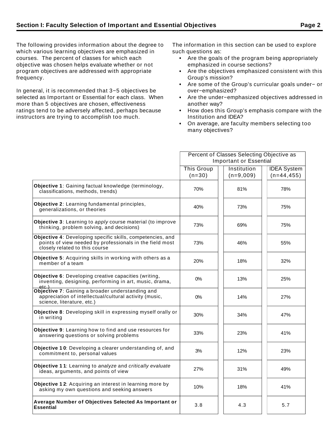The following provides information about the degree to which various learning objectives are emphasized in courses. The percent of classes for which each objective was chosen helps evaluate whether or not program objectives are addressed with appropriate frequency.

In general, it is recommended that 3−5 objectives be selected as Important or Essential for each class. When more than 5 objectives are chosen, effectiveness ratings tend to be adversely affected, perhaps because instructors are trying to accomplish too much.

The information in this section can be used to explore such questions as:

- Are the goals of the program being appropriately emphasized in course sections?
- Are the objectives emphasized consistent with this Group's mission?
- Are some of the Group's curricular goals under− or over−emphasized?
- Are the under−emphasized objectives addressed in another way?
- How does this Group's emphasis compare with the Institution and IDEA?
- On average, are faculty members selecting too many objectives?

|                                                                                                                                                          | Percent of Classes Selecting Objective as |                               |                    |  |  |  |
|----------------------------------------------------------------------------------------------------------------------------------------------------------|-------------------------------------------|-------------------------------|--------------------|--|--|--|
|                                                                                                                                                          |                                           | <b>Important or Essential</b> |                    |  |  |  |
|                                                                                                                                                          | <b>This Group</b>                         | Institution                   | <b>IDEA System</b> |  |  |  |
|                                                                                                                                                          | $(n=30)$                                  | $(n=9,009)$                   | $(n=44, 455)$      |  |  |  |
| Objective 1: Gaining factual knowledge (terminology,<br>classifications, methods, trends)                                                                | 70%                                       | 81%                           | 78%                |  |  |  |
| Objective 2: Learning fundamental principles,<br>generalizations, or theories                                                                            | 40%                                       | 73%                           | 75%                |  |  |  |
| Objective 3: Learning to apply course material (to improve<br>thinking, problem solving, and decisions)                                                  | 73%                                       | 69%                           | 75%                |  |  |  |
| Objective 4: Developing specific skills, competencies, and<br>points of view needed by professionals in the field most<br>closely related to this course | 73%                                       | 46%                           | 55%                |  |  |  |
| Objective 5: Acquiring skills in working with others as a<br>member of a team                                                                            | 20%                                       | 18%                           | 32%                |  |  |  |
| Objective 6: Developing creative capacities (writing,<br>inventing, designing, performing in art, music, drama,<br>etc.                                  | 0%                                        | 13%                           | 25%                |  |  |  |
| Objective 7: Gaining a broader understanding and<br>appreciation of intellectual/cultural activity (music,<br>science, literature, etc.)                 | $0\%$                                     | 14%                           | 27%                |  |  |  |
| Objective 8: Developing skill in expressing myself orally or<br>in writing                                                                               | 30%                                       | 34%                           | 47%                |  |  |  |
| Objective 9: Learning how to find and use resources for<br>answering questions or solving problems                                                       | 33%                                       | 23%                           | 41%                |  |  |  |
| Objective 10: Developing a clearer understanding of, and<br>commitment to, personal values                                                               | 3%                                        | 12%                           | 23%                |  |  |  |
| Objective 11: Learning to analyze and critically evaluate<br>ideas, arguments, and points of view                                                        | 27%                                       | 31%                           | 49%                |  |  |  |
| Objective 12: Acquiring an interest in learning more by<br>asking my own questions and seeking answers                                                   | 10%                                       | 18%                           | 41%                |  |  |  |
| Average Number of Objectives Selected As Important or<br><b>Essential</b>                                                                                | 3.8                                       | 4.3                           | 5.7                |  |  |  |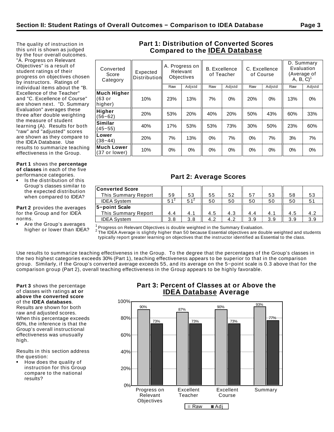The quality of instruction in this unit is shown as judged by the four overall outcomes. "A. Progress on Relevant Objectives" is a result of student ratings of their progress on objectives chosen by instructors. Ratings of individual items about the "B. Excellence of the Teacher" and "C. Excellence of Course" are shown next. "D. Summary Evaluation" averages these three after double weighting the measure of student learning (A). Results for both "raw" and "adjusted" scores are shown as they compare to the IDEA Database. Use results to summarize teaching effectiveness in the Group.

#### **Part 1** shows the **percentage of classes** in each of the five performance categories.

Is the distribution of this Group's classes similar to the expected distribution when compared to IDEA?

**Part 2** provides the averages for the Group and for IDEA norms.

Are the Group's averages higher or lower than IDEA?

## **Part 1: Distribution of Converted Scores Compared to the IDEA Database**

| Converted<br>Score<br>Category   | Expected<br>Distribution |     | A. Progress on<br>Relevant<br><b>Objectives</b> | <b>B.</b> Excellence | of Teacher | C. Excellence | of Course | D. Summary<br>Evaluation<br>(Average of<br>$A, B, C$ <sup>1</sup> |        |
|----------------------------------|--------------------------|-----|-------------------------------------------------|----------------------|------------|---------------|-----------|-------------------------------------------------------------------|--------|
|                                  |                          | Raw | Adjstd                                          | Raw                  | Adjstd     | Raw           | Adjstd    | Raw                                                               | Adjstd |
| Much Higher<br>(63 or<br>higher) | 10%                      | 23% | 13%                                             | 7%                   | 0%         | 20%           | 0%        | 13%                                                               | 0%     |
| Higher<br>$(56 - 62)$            | 20%                      | 53% | 20%                                             | 40%                  | 20%        | 50%           | 43%       | 60%                                                               | 33%    |
| Similar<br>$(45 - 55)$           | 40%                      | 17% | 53%                                             | 53%                  | 73%        | 30%           | 50%       | 23%                                                               | 60%    |
| Lower<br>$(38 - 44)$             | 20%                      | 7%  | 13%                                             | 0%                   | 7%         | 0%            | 7%        | 3%                                                                | 7%     |
| Much Lower<br>(37 or lower)      | 10%                      | 0%  | 0%                                              | 0%                   | 0%         | 0%            | 0%        | 0%                                                                | 0%     |

# **Part 2: Average Scores**

| <b>Converted Score</b> |          |          |     |     |     |     |     |     |
|------------------------|----------|----------|-----|-----|-----|-----|-----|-----|
| This Summary Report    | 59       | 53       | 55  | 52  | 57  | 53  | 58  | 53  |
| <b>IDEA System</b>     | $51^{2}$ | $51^{2}$ | 50  | 50  | 50  | 50  | 50  |     |
| 5-point Scale          |          |          |     |     |     |     |     |     |
| This Summary Report    | 4.4      | 4.1      | 4.5 | 4.3 | 4.4 | 4.1 | 4.5 |     |
| <b>IDEA System</b>     | 3.8      | 3.8      | 4.2 | 4.2 | 3.9 | 3.9 | 3.9 | 3.9 |

 $1$  Progress on Relevant Objectives is double weighted in the Summary Evaluation.

 $^2$  The IDEA Average is slightly higher than 50 because Essential objectives are double weighted and students typically report greater learning on objectives that the instructor identified as Essential to the class.

Use results to summarize teaching effectiveness in the Group. To the degree that the percentages of the Group's classes in the two highest categories exceeds 30% (Part 1), teaching effectiveness appears to be superior to that in the comparison group. Similarly, if the Group's converted average exceeds 55, and its average on the 5−point scale is 0.3 above that for the comparison group (Part 2), overall teaching effectiveness in the Group appears to be highly favorable.

**Part 3** shows the percentage of classes with ratings **at or above the converted score** of the **IDEA databases**. Results are shown for both raw and adjusted scores. When this percentage exceeds 60%, the inference is that the Group's overall instructional effectiveness was unusually high.

Results in this section address the question:

How does the quality of instruction for this Group compare to the national results?

## **Part 3: Percent of Classes at or Above the IDEA Database Average**

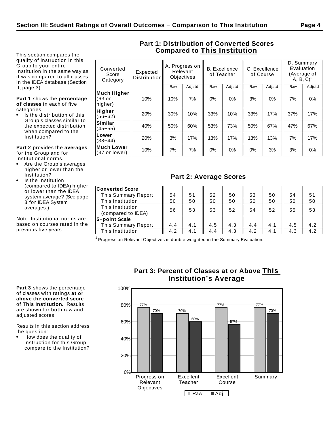**Much Lower**<br>(37 or lower)

This section compares the quality of instruction in this Group to your entire Institution in the same way as it was compared to all classes in the IDEA database (Section II, page 3).

#### **Part 1** shows the **percentage of classes** in each of five categories.

Is the distribution of this Group's classes similar to the expected distribution when compared to the Institution?

**Part 2** provides the **averages** for the Group and for Institutional norms.

- Are the Group's averages higher or lower than the Institution?
- Is the Institution (compared to IDEA) higher or lower than the IDEA system average? (See page 3 for IDEA System averages.)

Note: Institutional norms are based on courses rated in the previous five years.

| Converted<br>Score<br>Category          | Expected<br><b>Distribution</b> | A. Progress on<br>Relevant<br><b>Objectives</b> |        | <b>B.</b> Excellence<br>of Teacher |        | C. Excellence<br>of Course |        | D. Summary<br>Evaluation<br>$A, B, C$ <sup>1</sup> | (Average of |
|-----------------------------------------|---------------------------------|-------------------------------------------------|--------|------------------------------------|--------|----------------------------|--------|----------------------------------------------------|-------------|
|                                         |                                 | Raw                                             | Adjstd | Raw                                | Adjstd | Raw                        | Adjstd | Raw                                                | Adjstd      |
| <b>Much Higher</b><br>(63 or<br>higher) | 10%                             | 10%                                             | 7%     | 0%                                 | $0\%$  | 3%                         | 0%     | 7%                                                 | 0%          |
| Higher<br>(56–62)                       | 20%                             | 30%                                             | 10%    | 33%                                | 10%    | 33%                        | 17%    | 37%                                                | 17%         |
| <b>Similar</b><br>(45–55)               | 40%                             | 50%                                             | 60%    | 53%                                | 73%    | 50%                        | 67%    | 47%                                                | 67%         |
| Lower<br>(38–44)                        | 20%                             | 3%                                              | 17%    | 13%                                | 17%    | 13%                        | 13%    | 7%                                                 | 17%         |

## **Part 1: Distribution of Converted Scores Compared to This Institution**

## **Part 2: Average Scores**

|| 10% || 7% || 7% || 0% || 0% || 0% || 3% || 3% || 0%<br>(37 or lower) || 10% || 7% || 7% || 0% || 0% || 0% || 3% || 3% || 0%

| <b>Converted Score</b> |     |     |     |     |     |     |     |     |
|------------------------|-----|-----|-----|-----|-----|-----|-----|-----|
| This Summary Report    | 54  | 51  | 52  | 50  | 53  | 50  | 54  | 51  |
| This Institution       | 50  | 50  | 50  | 50  | 50  | 50  | 50  | 50  |
| This Institution       | 56  | 53  | 53  | 52  | 54  | 52  | 55  |     |
| (compared to IDEA)     |     |     |     |     |     |     |     | 53  |
| 5-point Scale          |     |     |     |     |     |     |     |     |
| This Summary Report    | 4.4 | 4.1 | 4.5 | 4.3 | 4.4 | 4.1 | 4.5 | 4.2 |
| This Institution       | 4.2 | 4.1 | 4.4 | 4.3 | 4.2 | 4.1 | 4.3 | 4.2 |

 $1$  Progress on Relevant Objectives is double weighted in the Summary Evaluation.

**Part 3** shows the percentage of classes with ratings **at or above the converted score** of **This Institution**. Results are shown for both raw and adjusted scores.

Results in this section address the question:

How does the quality of instruction for this Group compare to the Institution?



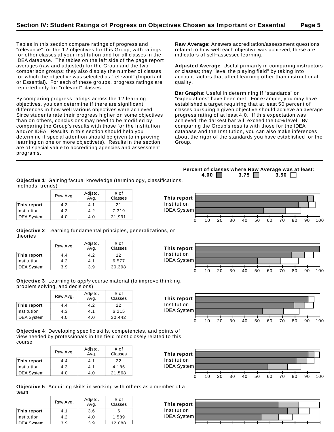Tables in this section compare ratings of progress and "relevance" for the 12 objectives for this Group, with ratings for other classes at your institution and for all classes in the IDEA database. The tables on the left side of the page report averages (raw and adjusted) for the Group and the two comparison groups; they also display the number of classes for which the objective was selected as "relevant" (Important or Essential). For each of these groups, progress ratings are reported only for "relevant" classes.

By comparing progress ratings across the 12 learning objectives, you can determine if there are significant differences in how well various objectives were achieved. Since students rate their progress higher on some objectives than on others, conclusions may need to be modified by comparing the Group's results with those for the Institution and/or IDEA. Results in this section should help you determine if special attention should be given to improving learning on one or more objective(s). Results in the section are of special value to accrediting agencies and assessment programs.

**Raw Average**: Answers accreditation/assessment questions related to how well each objective was achieved; these are indicators of self−assessed learning.

**Adjusted Average**: Useful primarily in comparing instructors or classes; they "level the playing field" by taking into account factors that affect learning other than instructional quality.

**Bar Graphs**: Useful in determining if "standards" or "expectations" have been met. For example, you may have established a target requiring that at least 50 percent of classes pursuing a given objective should achieve an average progress rating of at least 4.0. If this expectation was achieved, the darkest bar will exceed the 50% level. By comparing the Group's results with those for the IDEA database and the Institution, you can also make inferences about the rigor of the standards you have established for the Group.

**Percent of classes where Raw Average was at least: 4.00 3.75 3.50** 

**Objective 1**: Gaining factual knowledge (terminology, classifications, methods, trends)

|                    | Raw Avg. | Adistd.<br>Avg. | # of<br>Classes        | This report        |    |    |    |    |    |    |    |    |    |     |
|--------------------|----------|-----------------|------------------------|--------------------|----|----|----|----|----|----|----|----|----|-----|
| This report        | 4.3      | 4.1             | $\Omega$<br>$\epsilon$ | Institution        |    |    |    |    |    |    |    |    |    |     |
| Institution        | 4.3      | 4.2             | 7,319                  | <b>IDEA System</b> |    |    |    |    |    |    |    |    |    |     |
| <b>IDEA System</b> | 4.0      | 4.0             | 31,991                 |                    |    |    |    |    |    |    |    |    |    |     |
|                    |          |                 |                        |                    | 10 | 20 | 30 | 40 | 50 | 60 | 70 | 80 | 90 | 100 |

**Objective 2**: Learning fundamental principles, generalizations, or theories

|                    | Raw Avg. | Adjstd.<br>Avg. | # of<br>Classes |
|--------------------|----------|-----------------|-----------------|
| This report        | 4.4      | 4.2             | 12              |
| Institution        | 4.2      | 4.1             | 6.577           |
| <b>IDEA System</b> | 3.9      | 3.9             | 30,398          |



|                    | Raw Avg. | Adjstd.<br>Avg. | # of<br>Classes |
|--------------------|----------|-----------------|-----------------|
| This report        | 4.4      | 4.2             | 22              |
| Institution        | 4.3      | 4.1             | 6,215           |
| <b>IDEA System</b> | 4.0      | 4.0             | 30,442          |

**Objective 4**: Developing specific skills, competencies, and points of view needed by professionals in the field most closely related to this course

|                    | Raw Avg. | Adjstd.<br>Avg. | # of<br>Classes |
|--------------------|----------|-----------------|-----------------|
| This report        | 4.4      | 4.1             | 22              |
| Institution        | 4.3      | 4.1             | 4,185           |
| <b>IDEA System</b> | 4.0      | 4.0             | 21,568          |



**Objective 5**: Acquiring skills in working with others as a member of a team

|                    | Raw Avg. | Adjstd.<br>Avg. | # of<br>Classes |
|--------------------|----------|-----------------|-----------------|
| This report        | 4.1      | 3.6             |                 |
| Institution        | 4.2      | 4.0             | 1,589           |
| <b>IDEA</b> System | 2 Q      | 3 Q             | <b>12 088</b>   |





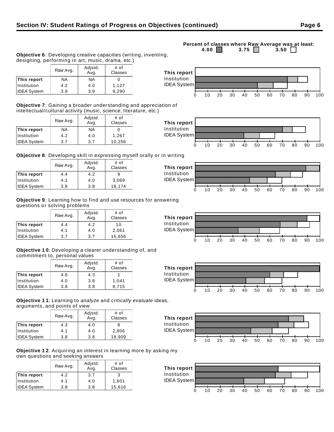

|                    | Raw Avg. | Adjstd.<br>Avg. | # of<br>Classes |
|--------------------|----------|-----------------|-----------------|
| This report        | ΝA       | ΝA              |                 |
| Institution        | 4.2      | 4.0             | 1.127           |
| <b>IDEA System</b> | 3.9      | 3.9             | 9,290           |

**Objective 7**: Gaining a broader understanding and appreciation of intellectual/cultural activity (music, science, literature, etc.)

|                    | Raw Avg. | Adjstd.<br>Avg. | # of<br>Classes |
|--------------------|----------|-----------------|-----------------|
| This report        | ΝA       | <b>NA</b>       |                 |
| Institution        | 4.2      | 4.0             | 1,267           |
| <b>IDEA System</b> | 3.7      | 3.7             | 10,256          |

**Objective 8**: Developing skill in expressing myself orally or in writing

|                    | Raw Avg. | Adjstd.<br>Avg. | $#$ of<br>Classes |
|--------------------|----------|-----------------|-------------------|
| This report        | 4.4      | 4.2             | 9                 |
| Institution        | 4.1      | 4.0             | 3,069             |
| <b>IDEA System</b> | 3.8      | 3.8             | 18,174            |

**Objective 9**: Learning how to find and use resources for answering questions or solving problems

|                    | Raw Avg. | Adjstd.<br>Avg. | # of<br>Classes |
|--------------------|----------|-----------------|-----------------|
| This report        | 4.4      | 4.2             | 10              |
| Institution        | 4.1      | 4.0             | 2,061           |
| <b>IDEA</b> System | 3.7      | 3.7             | 15,656          |

**Objective 1 0**: Developing a clearer understanding of, and commitment to, personal values

|                    | Raw Avg. | Adjstd.<br>Avg. | # of<br>Classes |
|--------------------|----------|-----------------|-----------------|
| This report        | 4.6      | 4.3             |                 |
| Institution        | 4.0      | 3.8             | 1.041           |
| <b>IDEA</b> System | 3.8      | 3.8             | 8.715           |

**Objective 1 1**: Learning to analyze and critically evaluate ideas, arguments, and points of view

|                    | Raw Avg. | Adjstd.<br>Avg. | # of<br>Classes |
|--------------------|----------|-----------------|-----------------|
| This report        | 4.3      | 4.0             | 8               |
| Institution        | 4.1      | 4.0             | 2,806           |
| <b>IDEA System</b> | 3.8      | 3.8             | 18,909          |

**Objective 1 2**: Acquiring an interest in learning more by asking my own questions and seeking answers

|                    | Raw Avg. | Adjstd.<br>Avg. | # of<br>Classes |
|--------------------|----------|-----------------|-----------------|
| This report        | 4.2      | 3.7             |                 |
| Institution        | 4.1      | 4.0             | 1,601           |
| <b>IDEA System</b> | 3.8      | 3.8             | 15,616          |





0 10 20 30 40 50 60 70 80 90 100





**Percent of classes where Raw Average was at least:**<br>4.00 **1** 3.75 3.50 3.75  $\Box$ 







**This report** Institution IDEA System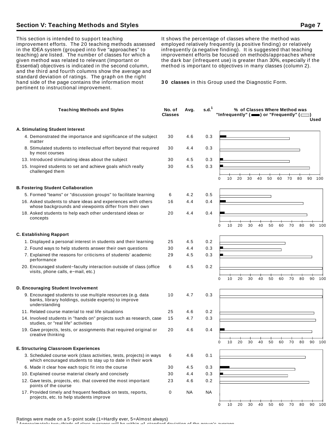## **Section V: Teaching Methods and Styles Page 7 Access Page 7 Access Page 7 Access Page 7**

This section is intended to support teaching improvement efforts. The 20 teaching methods assessed in the IDEA system (grouped into five "approaches" to teaching) are listed. The number of classes for which a given method was related to relevant (Important or Essential) objectives is indicated in the second column, and the third and fourth columns show the average and standard deviation of ratings. The graph on the right hand side of the page contains the information most pertinent to instructional improvement.

It shows the percentage of classes where the method was employed relatively frequently (a positive finding) or relatively infrequently (a negative finding). It is suggested that teaching improvement efforts be focused on methods/approaches where the dark bar (infrequent use) is greater than 30%, especially if the method is important to objectives in many classes (column 2).

**3 0 classes** in this Group used the Diagnostic Form.

| <b>Teaching Methods and Styles</b>                                                                                                   | No. of<br><b>Classes</b> | Avg. | s.d. <sup>1</sup> | "Infrequently" ( $\equiv$ ) or "Frequently" ( $\equiv$ ) |          | % of Classes Where Method was |    |    |    |    | Used |     |
|--------------------------------------------------------------------------------------------------------------------------------------|--------------------------|------|-------------------|----------------------------------------------------------|----------|-------------------------------|----|----|----|----|------|-----|
| A. Stimulating Student Interest                                                                                                      |                          |      |                   |                                                          |          |                               |    |    |    |    |      |     |
| 4. Demonstrated the importance and significance of the subject<br>matter                                                             | 30                       | 4.6  | 0.3               |                                                          |          |                               |    |    |    |    |      |     |
| 8. Stimulated students to intellectual effort beyond that required<br>by most courses                                                | 30                       | 4.4  | 0.3               |                                                          |          |                               |    |    |    |    |      |     |
| 13. Introduced stimulating ideas about the subject                                                                                   | 30                       | 4.5  | 0.3               |                                                          |          |                               |    |    |    |    |      |     |
| 15. Inspired students to set and achieve goals which really<br>challenged them                                                       | 30                       | 4.5  | 0.3               | 10<br>0                                                  | 30<br>20 | 40                            | 50 | 60 | 70 | 80 | 90   | 100 |
| <b>B. Fostering Student Collaboration</b>                                                                                            |                          |      |                   |                                                          |          |                               |    |    |    |    |      |     |
| 5. Formed "teams" or "discussion groups" to facilitate learning                                                                      | 6                        | 4.2  | 0.5               |                                                          |          |                               |    |    |    |    |      |     |
| 16. Asked students to share ideas and experiences with others<br>whose backgrounds and viewpoints differ from their own              | 16                       | 4.4  | 0.4               |                                                          |          |                               |    |    |    |    |      |     |
| 18. Asked students to help each other understand ideas or<br>concepts                                                                | 20                       | 4.4  | 0.4               | $\Omega$<br>10                                           | 20<br>30 | 40                            | 50 | 60 | 70 | 80 | 90   | 100 |
| C. Establishing Rapport                                                                                                              |                          |      |                   |                                                          |          |                               |    |    |    |    |      |     |
| 1. Displayed a personal interest in students and their learning                                                                      | 25                       | 4.5  | 0.2               |                                                          |          |                               |    |    |    |    |      |     |
| 2. Found ways to help students answer their own questions                                                                            | 30                       | 4.4  | 0.3               |                                                          |          |                               |    |    |    |    |      |     |
| 7. Explained the reasons for criticisms of students' academic<br>performance                                                         | 29                       | 4.5  | 0.3               |                                                          |          |                               |    |    |    |    |      |     |
| 20. Encouraged student-faculty interaction outside of class (office<br>visits, phone calls, e-mail, etc.)                            | 6                        | 4.5  | 0.2               | 0<br>10                                                  | 20<br>30 | 40                            | 50 | 60 | 70 | 80 | 90   | 100 |
| D. Encouraging Student Involvement                                                                                                   |                          |      |                   |                                                          |          |                               |    |    |    |    |      |     |
| 9. Encouraged students to use multiple resources (e.g. data<br>banks, library holdings, outside experts) to improve<br>understanding | 10                       | 4.7  | 0.3               |                                                          |          |                               |    |    |    |    |      |     |
| 11. Related course material to real life situations                                                                                  | 25                       | 4.6  | 0.2               |                                                          |          |                               |    |    |    |    |      |     |
| 14. Involved students in "hands on" projects such as research, case<br>studies, or "real life" activities                            | 15                       | 4.7  | 0.3               |                                                          |          |                               |    |    |    |    |      |     |
| 19. Gave projects, tests, or assignments that required original or<br>creative thinking                                              | 20                       | 4.6  | 0.4               | 10<br>O                                                  | 30<br>20 | 40                            | 50 | 60 | 70 | 80 | 90   | 100 |
| E. Structuring Classroom Experiences                                                                                                 |                          |      |                   |                                                          |          |                               |    |    |    |    |      |     |
| 3. Scheduled course work (class activities, tests, projects) in ways<br>which encouraged students to stay up to date in their work   | 6                        | 4.6  | 0.1               |                                                          |          |                               |    |    |    |    |      |     |
| 6. Made it clear how each topic fit into the course                                                                                  | 30                       | 4.5  | 0.3               |                                                          |          |                               |    |    |    |    |      |     |
| 10. Explained course material clearly and concisely                                                                                  | 30                       | 4.4  | 0.3               |                                                          |          |                               |    |    |    |    |      |     |
| 12. Gave tests, projects, etc. that covered the most important<br>points of the course                                               | 23                       | 4.6  | 0.2               |                                                          |          |                               |    |    |    |    |      |     |
| 17. Provided timely and frequent feedback on tests, reports,<br>projects, etc. to help students improve                              | 0                        | NA.  | <b>NA</b>         |                                                          |          |                               |    |    |    |    |      |     |
|                                                                                                                                      |                          |      |                   | 10<br>0                                                  | 20<br>30 | 40                            | 50 | 60 | 70 | 80 | 90   | 100 |

Ratings were made on a 5−point scale (1=Hardly ever, 5=Almost always)

<sup>1</sup> Approximately two−thirds of class averages will be within 1 standard deviation of the group's average.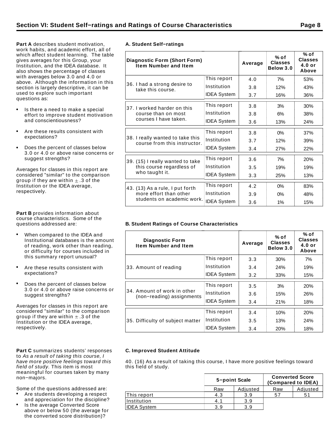**Part A** describes student motivation, work habits, and academic effort, all of which affect student learning. The table gives averages for this Group, your Institution, and the IDEA database. It also shows the percentage of classes with averages below 3.0 and 4.0 or above. Although the information in this section is largely descriptive, it can be used to explore such important questions as:

- Is there a need to make a special effort to improve student motivation and conscientiousness?
- Are these results consistent with expectations?
- Does the percent of classes below  $\bullet$ 3.0 or 4.0 or above raise concerns or suggest strengths?

Averages for classes in this report are considered "similar" to the comparison group if they are within  $\pm$  .3 of the Institution or the IDEA average, respectively.

**Part B** provides information about course characteristics. Some of the questions addressed are:

- When compared to the IDEA and Institutional databases is the amount of reading, work other than reading, or difficulty for courses included in this summary report unusual?
- Are these results consistent with expectations?
- Does the percent of classes below 3.0 or 4.0 or above raise concerns or suggest strengths?

Averages for classes in this report are considered "similar" to the comparison group if they are within  $\pm$  .3 of the Institution or the IDEA average, respectively.

**Part C** summarizes students' responses to As a result of taking this course, I have more positive feelings toward this field of study. This item is most meaningful for courses taken by many non−majors.

Some of the questions addressed are:

- Are students developing a respect and appreciation for the discipline?
- Is the average Converted Score above or below 50 (the average for the converted score distribution)?

|  | A. Student Self-ratings |
|--|-------------------------|
|  |                         |

| Diagnostic Form (Short Form)<br><b>Item Number and Item</b>      |                    | Average | % of<br><b>Classes</b><br>Below 3.0 | % of<br><b>Classes</b><br>4.0 or<br>Above |
|------------------------------------------------------------------|--------------------|---------|-------------------------------------|-------------------------------------------|
|                                                                  | This report        | 4.0     | 7%                                  | 53%                                       |
| 36. I had a strong desire to<br>take this course.                | Institution        | 3.8     | 12%                                 | 43%                                       |
|                                                                  | <b>IDEA System</b> | 3.7     | 16%                                 | 36%                                       |
| 37. I worked harder on this                                      | This report        | 3.8     | 3%                                  | 30%                                       |
| course than on most                                              | Institution        | 3.8     | 6%                                  | 38%                                       |
| courses I have taken.                                            | <b>IDEA System</b> | 3.6     | 13%                                 | 24%                                       |
|                                                                  | This report        | 3.8     | $0\%$                               | 37%                                       |
| 38. I really wanted to take this<br>course from this instructor. | Institution        | 3.7     | 12%                                 | 39%                                       |
|                                                                  | <b>IDEA System</b> | 3.4     | 27%                                 | 22%                                       |
| 39. (15) I really wanted to take                                 | This report        | 3.6     | 7%                                  | 20%                                       |
| this course regardless of                                        | Institution        | 3.5     | 19%                                 | 19%                                       |
| who taught it.                                                   | <b>IDEA System</b> | 3.3     | 25%                                 | 13%                                       |
| 43. (13) As a rule, I put forth                                  | This report        | 4.2     | $0\%$                               | 83%                                       |
| more effort than other                                           | Institution        | 3.9     | $0\%$                               | 48%                                       |
| students on academic work.                                       | <b>IDEA System</b> | 3.6     | 1%                                  | 15%                                       |

#### **B. Student Ratings of Course Characteristics**

| <b>Diagnostic Form</b><br><b>Item Number and Item</b>    |                    | Average | % of<br><b>Classes</b><br>Below 3.0 | % of<br><b>Classes</b><br>$4.0$ or<br>Above |
|----------------------------------------------------------|--------------------|---------|-------------------------------------|---------------------------------------------|
|                                                          | This report        | 3.3     | 30%                                 | 7%                                          |
| 33. Amount of reading                                    | Institution        | 3.4     | 24%                                 | 19%                                         |
|                                                          | <b>IDEA System</b> | 3.2     | 33%                                 | 15%                                         |
|                                                          | This report        | 3.5     | 3%                                  | 20%                                         |
| 34. Amount of work in other<br>(non-reading) assignments | Institution        | 3.6     | 15%                                 | 26%                                         |
|                                                          | <b>IDEA System</b> | 3.4     | 21%                                 | 18%                                         |
|                                                          | This report        | 3.4     | 10%                                 | 20%                                         |
| 35. Difficulty of subject matter                         | Institution        | 3.5     | 13%                                 | 24%                                         |
|                                                          | <b>IDEA System</b> | 3.4     | 20%                                 | 18%                                         |

#### **C. Improved Student Attitude**

40. (16) As a result of taking this course, I have more positive feelings toward this field of study.

|                    | 5-point Scale |          | <b>Converted Score</b><br>(Compared to IDEA) |          |  |  |  |
|--------------------|---------------|----------|----------------------------------------------|----------|--|--|--|
|                    | Raw           | Adjusted | Raw                                          | Adjusted |  |  |  |
| This report        | 4.3           | 3.9      | 5.                                           | 51       |  |  |  |
| Institution        | 4.1           | 3.9      |                                              |          |  |  |  |
| <b>IDEA System</b> | 3.9           | 3.9      |                                              |          |  |  |  |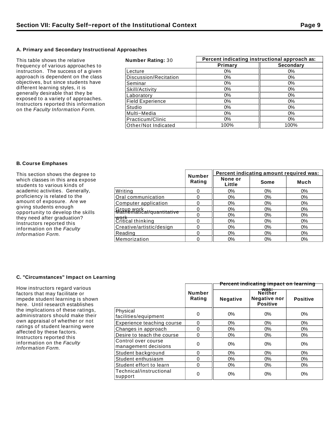## **A. Primary and Secondary Instructional Approaches**

| This table shows the relative                                                                                                                          | <b>Number Rating: 30</b> | Percent indicating instructional approach as: |                  |  |  |  |
|--------------------------------------------------------------------------------------------------------------------------------------------------------|--------------------------|-----------------------------------------------|------------------|--|--|--|
| frequency of various approaches to<br>instruction. The success of a given<br>approach is dependent on the class<br>objectives, but since students have |                          | Primary                                       | <b>Secondary</b> |  |  |  |
|                                                                                                                                                        | Lecture                  | $0\%$                                         | $0\%$            |  |  |  |
|                                                                                                                                                        | Discussion/Recitation    | $0\%$                                         | 0%               |  |  |  |
|                                                                                                                                                        | Seminar                  | $0\%$                                         | $0\%$            |  |  |  |
| different learning styles, it is                                                                                                                       | Skill/Activity           | $0\%$                                         | $0\%$            |  |  |  |
| generally desirable that they be                                                                                                                       | Laboratory               | 0%                                            | $0\%$            |  |  |  |
| exposed to a variety of approaches.<br>Instructors reported this information                                                                           | <b>Field Experience</b>  | 0%                                            | $0\%$            |  |  |  |
| on the Faculty Information Form.                                                                                                                       | Studio                   | 0%                                            | $0\%$            |  |  |  |
|                                                                                                                                                        | Multi-Media              | 0%                                            | $0\%$            |  |  |  |
|                                                                                                                                                        | Practicum/Clinic         | $0\%$                                         | $0\%$            |  |  |  |
|                                                                                                                                                        | Other/Not Indicated      | 100%                                          | 100%             |  |  |  |

### **B. Course Emphases**

| This section shows the degree to                                                                                                                                                                                                                                             |                                         |                         | Percent indicating amount required was: |       |       |  |
|------------------------------------------------------------------------------------------------------------------------------------------------------------------------------------------------------------------------------------------------------------------------------|-----------------------------------------|-------------------------|-----------------------------------------|-------|-------|--|
| which classes in this area expose<br>students to various kinds of                                                                                                                                                                                                            |                                         | <b>Number</b><br>Rating | None or<br>Little                       | Some  | Much  |  |
| academic activities. Generally,<br>proficiency is related to the<br>amount of exposure. Are we<br>giving students enough<br>opportunity to develop the skills<br>they need after graduation?<br>Instructors reported this<br>information on the Faculty<br>Information Form. | Writina                                 |                         | $0\%$                                   | $0\%$ | $0\%$ |  |
|                                                                                                                                                                                                                                                                              | Oral communication                      |                         | 0%                                      | 0%    | $0\%$ |  |
|                                                                                                                                                                                                                                                                              | Computer application                    |                         | 0%                                      | $0\%$ | $0\%$ |  |
|                                                                                                                                                                                                                                                                              | Group work<br>Mathematical/quantitative |                         | $0\%$                                   | $0\%$ | $0\%$ |  |
|                                                                                                                                                                                                                                                                              |                                         |                         | 0%                                      | $0\%$ | $0\%$ |  |
|                                                                                                                                                                                                                                                                              | work<br>Critical thinking               |                         | 0%                                      | $0\%$ | $0\%$ |  |
|                                                                                                                                                                                                                                                                              | Creative/artistic/design                |                         | $0\%$                                   | $0\%$ | $0\%$ |  |
|                                                                                                                                                                                                                                                                              | Reading                                 |                         | $0\%$                                   | 0%    | $0\%$ |  |
|                                                                                                                                                                                                                                                                              | Memorization                            |                         | 0%                                      | 0%    | $0\%$ |  |

## **C. "Circumstances" Impact on Learning**

|                                                                                                                                                                                                                                                                                               |                                             |                         | Percent indicating impact on learning |                                                               |                 |  |
|-----------------------------------------------------------------------------------------------------------------------------------------------------------------------------------------------------------------------------------------------------------------------------------------------|---------------------------------------------|-------------------------|---------------------------------------|---------------------------------------------------------------|-----------------|--|
| factors that may facilitate or<br>impede student learning is shown<br>here. Until research establishes                                                                                                                                                                                        |                                             | <b>Number</b><br>Rating | <b>Negative</b>                       | <del>was:</del><br>Neither<br>Negative nor<br><b>Positive</b> | <b>Positive</b> |  |
| How instructors regard various<br>the implications of these ratings,<br>administrators should make their<br>own appraisal of whether or not<br>ratings of student learning were<br>affected by these factors.<br>Instructors reported this<br>information on the Faculty<br>Information Form. | Physical<br>facilities/equipment            | 0                       | 0%                                    | $0\%$                                                         | $0\%$           |  |
|                                                                                                                                                                                                                                                                                               | Experience teaching course                  | $\Omega$                | $0\%$                                 | $0\%$                                                         | $0\%$           |  |
|                                                                                                                                                                                                                                                                                               | Changes in approach                         | 0                       | $0\%$                                 | $0\%$                                                         | 0%              |  |
|                                                                                                                                                                                                                                                                                               | Desire to teach the course                  | 0                       | $0\%$                                 | 0%                                                            | 0%              |  |
|                                                                                                                                                                                                                                                                                               | Control over course<br>management decisions | 0                       | 0%                                    | $0\%$                                                         | $0\%$           |  |
|                                                                                                                                                                                                                                                                                               | Student background                          | $\Omega$                | $0\%$                                 | $0\%$                                                         | $0\%$           |  |
|                                                                                                                                                                                                                                                                                               | Student enthusiasm                          | 0                       | $0\%$                                 | $0\%$                                                         | 0%              |  |
|                                                                                                                                                                                                                                                                                               | Student effort to learn                     | $\Omega$                | $0\%$                                 | $0\%$                                                         | 0%              |  |
|                                                                                                                                                                                                                                                                                               | Technical/instructional<br>support          | 0                       | $0\%$                                 | 0%                                                            | 0%              |  |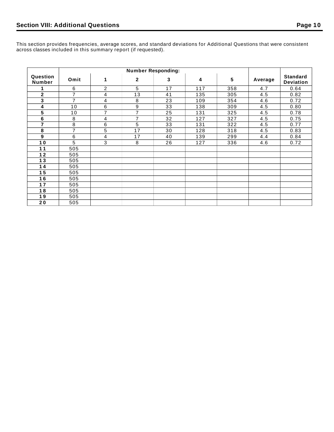This section provides frequencies, average scores, and standard deviations for Additional Questions that were consistent across classes included in this summary report (if requested).

|                           | <b>Number Responding:</b> |                |                |    |     |                |         |                                     |
|---------------------------|---------------------------|----------------|----------------|----|-----|----------------|---------|-------------------------------------|
| Question<br><b>Number</b> | Omit                      | 1              | $\mathbf{2}$   | 3  | 4   | $5\phantom{1}$ | Average | <b>Standard</b><br><b>Deviation</b> |
|                           | 6                         | $\overline{2}$ | 5              | 17 | 117 | 358            | 4.7     | 0.64                                |
| $\mathbf{2}$              | $\overline{7}$            | 4              | 13             | 41 | 135 | 305            | 4.5     | 0.82                                |
| $\mathbf{3}$              | $\overline{7}$            | 4              | 8              | 23 | 109 | 354            | 4.6     | 0.72                                |
| 4                         | 10                        | 6              | 9              | 33 | 138 | 309            | 4.5     | 0.80                                |
| $\overline{5}$            | 10                        | 7              | 7              | 25 | 131 | 325            | 4.5     | 0.78                                |
| 6                         | 8                         | 4              | $\overline{7}$ | 32 | 127 | 327            | 4.5     | 0.75                                |
| $\overline{7}$            | 8                         | 6              | 5              | 33 | 131 | 322            | 4.5     | 0.77                                |
| 8                         | $\overline{7}$            | 5              | 17             | 30 | 128 | 318            | 4.5     | 0.83                                |
| 9                         | 6                         | 4              | 17             | 40 | 139 | 299            | 4.4     | 0.84                                |
| 10                        | 5                         | 3              | 8              | 26 | 127 | 336            | 4.6     | 0.72                                |
| 11                        | 505                       |                |                |    |     |                |         |                                     |
| $12$                      | 505                       |                |                |    |     |                |         |                                     |
| 13                        | 505                       |                |                |    |     |                |         |                                     |
| $14$                      | 505                       |                |                |    |     |                |         |                                     |
| 15                        | 505                       |                |                |    |     |                |         |                                     |
| 16                        | 505                       |                |                |    |     |                |         |                                     |
| 17                        | 505                       |                |                |    |     |                |         |                                     |
| 18                        | 505                       |                |                |    |     |                |         |                                     |
| 19                        | 505                       |                |                |    |     |                |         |                                     |
| 20                        | 505                       |                |                |    |     |                |         |                                     |